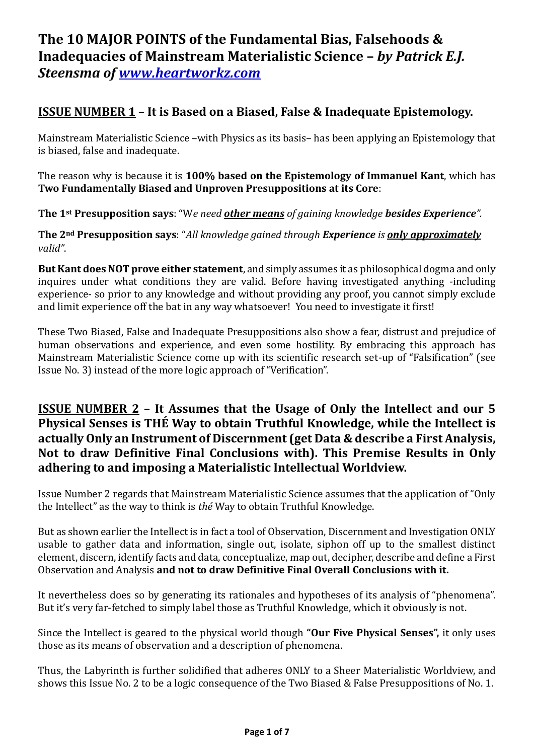# **The 10 MAJOR POINTS of the Fundamental Bias, Falsehoods & Inadequacies of Mainstream Materialistic Science –** *by Patrick E.J. Steensma of [www.heartworkz.com](http://www.heartworkz.com/)*

## **ISSUE NUMBER 1 – It is Based on a Biased, False & Inadequate Epistemology.**

Mainstream Materialistic Science –with Physics as its basis– has been applying an Epistemology that is biased, false and inadequate.

The reason why is because it is **100% based on the Epistemology of Immanuel Kant**, which has **Two Fundamentally Biased and Unproven Presuppositions at its Core**:

**The 1st Presupposition says**: "W*e need other means of gaining knowledge besides Experience".* 

**The 2nd Presupposition says**: "*All knowledge gained through Experience is only approximately valid"*.

**But Kant does NOT prove either statement**, and simply assumes it as philosophical dogma and only inquires under what conditions they are valid. Before having investigated anything -including experience- so prior to any knowledge and without providing any proof, you cannot simply exclude and limit experience off the bat in any way whatsoever! You need to investigate it first!

These Two Biased, False and Inadequate Presuppositions also show a fear, distrust and prejudice of human observations and experience, and even some hostility. By embracing this approach has Mainstream Materialistic Science come up with its scientific research set-up of "Falsification" (see Issue No. 3) instead of the more logic approach of "Verification".

#### **ISSUE NUMBER 2 – It Assumes that the Usage of Only the Intellect and our 5 Physical Senses is THÉ Way to obtain Truthful Knowledge, while the Intellect is actually Only an Instrument of Discernment (get Data & describe a First Analysis, Not to draw Definitive Final Conclusions with). This Premise Results in Only adhering to and imposing a Materialistic Intellectual Worldview.**

Issue Number 2 regards that Mainstream Materialistic Science assumes that the application of "Only the Intellect" as the way to think is *thé* Way to obtain Truthful Knowledge.

But as shown earlier the Intellect is in fact a tool of Observation, Discernment and Investigation ONLY usable to gather data and information, single out, isolate, siphon off up to the smallest distinct element, discern, identify facts and data, conceptualize, map out, decipher, describe and define a First Observation and Analysis **and not to draw Definitive Final Overall Conclusions with it.** 

It nevertheless does so by generating its rationales and hypotheses of its analysis of "phenomena". But it's very far-fetched to simply label those as Truthful Knowledge, which it obviously is not.

Since the Intellect is geared to the physical world though **"Our Five Physical Senses",** it only uses those as its means of observation and a description of phenomena.

Thus, the Labyrinth is further solidified that adheres ONLY to a Sheer Materialistic Worldview, and shows this Issue No. 2 to be a logic consequence of the Two Biased & False Presuppositions of No. 1.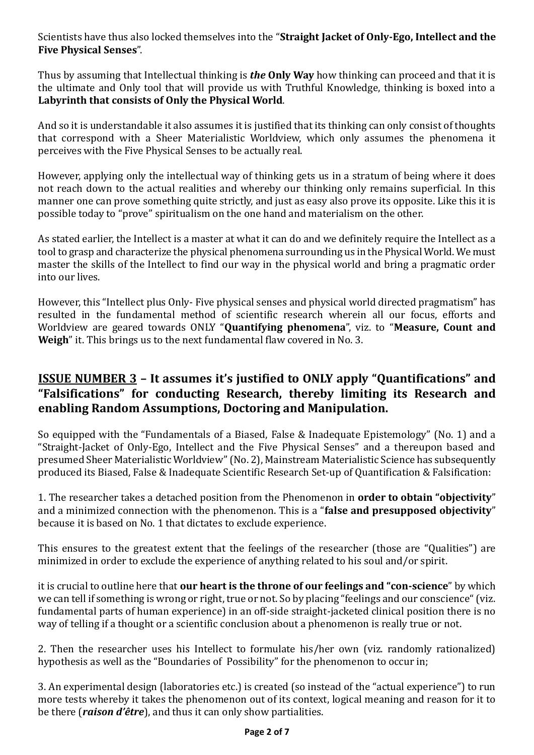Scientists have thus also locked themselves into the "**Straight Jacket of Only-Ego, Intellect and the Five Physical Senses**".

Thus by assuming that Intellectual thinking is *the* **Only Way** how thinking can proceed and that it is the ultimate and Only tool that will provide us with Truthful Knowledge, thinking is boxed into a **Labyrinth that consists of Only the Physical World**.

And so it is understandable it also assumes it is justified that its thinking can only consist of thoughts that correspond with a Sheer Materialistic Worldview, which only assumes the phenomena it perceives with the Five Physical Senses to be actually real.

However, applying only the intellectual way of thinking gets us in a stratum of being where it does not reach down to the actual realities and whereby our thinking only remains superficial. In this manner one can prove something quite strictly, and just as easy also prove its opposite. Like this it is possible today to "prove" spiritualism on the one hand and materialism on the other.

As stated earlier, the Intellect is a master at what it can do and we definitely require the Intellect as a tool to grasp and characterize the physical phenomena surrounding us in the Physical World. We must master the skills of the Intellect to find our way in the physical world and bring a pragmatic order into our lives.

However, this "Intellect plus Only- Five physical senses and physical world directed pragmatism" has resulted in the fundamental method of scientific research wherein all our focus, efforts and Worldview are geared towards ONLY "**Quantifying phenomena**", viz. to "**Measure, Count and Weigh**" it. This brings us to the next fundamental flaw covered in No. 3.

### **ISSUE NUMBER 3 – It assumes it's justified to ONLY apply "Quantifications" and "Falsifications" for conducting Research, thereby limiting its Research and enabling Random Assumptions, Doctoring and Manipulation.**

So equipped with the "Fundamentals of a Biased, False & Inadequate Epistemology" (No. 1) and a "Straight-Jacket of Only-Ego, Intellect and the Five Physical Senses" and a thereupon based and presumed Sheer Materialistic Worldview"(No. 2), Mainstream Materialistic Science has subsequently produced its Biased, False & Inadequate Scientific Research Set-up of Quantification & Falsification:

1. The researcher takes a detached position from the Phenomenon in **order to obtain "objectivity**" and a minimized connection with the phenomenon. This is a "**false and presupposed objectivity**" because it is based on No. 1 that dictates to exclude experience.

This ensures to the greatest extent that the feelings of the researcher (those are "Qualities") are minimized in order to exclude the experience of anything related to his soul and/or spirit.

it is crucial to outline here that **our heart is the throne of our feelings and "con-science**" by which we can tell if something is wrong or right, true or not. So by placing "feelings and our conscience" (viz. fundamental parts of human experience) in an off-side straight-jacketed clinical position there is no way of telling if a thought or a scientific conclusion about a phenomenon is really true or not.

2. Then the researcher uses his Intellect to formulate his/her own (viz. randomly rationalized) hypothesis as well as the "Boundaries of Possibility" for the phenomenon to occur in;

3. An experimental design (laboratories etc.) is created (so instead of the "actual experience") to run more tests whereby it takes the phenomenon out of its context, logical meaning and reason for it to be there (*raison d'être*), and thus it can only show partialities.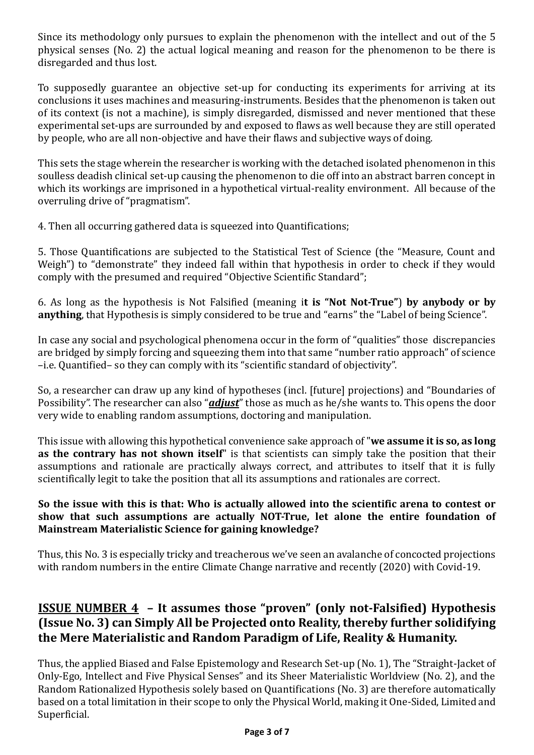Since its methodology only pursues to explain the phenomenon with the intellect and out of the 5 physical senses (No. 2) the actual logical meaning and reason for the phenomenon to be there is disregarded and thus lost.

To supposedly guarantee an objective set-up for conducting its experiments for arriving at its conclusions it uses machines and measuring-instruments. Besides that the phenomenon is taken out of its context (is not a machine), is simply disregarded, dismissed and never mentioned that these experimental set-ups are surrounded by and exposed to flaws as well because they are still operated by people, who are all non-objective and have their flaws and subjective ways of doing.

This sets the stage wherein the researcher is working with the detached isolated phenomenon in this soulless deadish clinical set-up causing the phenomenon to die off into an abstract barren concept in which its workings are imprisoned in a hypothetical virtual-reality environment. All because of the overruling drive of "pragmatism".

4. Then all occurring gathered data is squeezed into Quantifications;

5. Those Quantifications are subjected to the Statistical Test of Science (the "Measure, Count and Weigh") to "demonstrate" they indeed fall within that hypothesis in order to check if they would comply with the presumed and required "Objective Scientific Standard";

6. As long as the hypothesis is Not Falsified (meaning i**t is "Not Not-True"**) **by anybody or by anything**, that Hypothesis is simply considered to be true and "earns" the "Label of being Science".

In case any social and psychological phenomena occur in the form of "qualities" those discrepancies are bridged by simply forcing and squeezing them into that same "number ratio approach" of science –i.e. Quantified– so they can comply with its "scientific standard of objectivity".

So, a researcher can draw up any kind of hypotheses (incl. [future] projections) and "Boundaries of Possibility". The researcher can also "*adjust*" those as much as he/she wants to. This opens the door very wide to enabling random assumptions, doctoring and manipulation.

This issue with allowing this hypothetical convenience sake approach of "**we assume it is so, as long as the contrary has not shown itself**" is that scientists can simply take the position that their assumptions and rationale are practically always correct, and attributes to itself that it is fully scientifically legit to take the position that all its assumptions and rationales are correct.

#### **So the issue with this is that: Who is actually allowed into the scientific arena to contest or show that such assumptions are actually NOT-True, let alone the entire foundation of Mainstream Materialistic Science for gaining knowledge?**

Thus, this No. 3 is especially tricky and treacherous we've seen an avalanche of concocted projections with random numbers in the entire Climate Change narrative and recently (2020) with Covid-19.

### **ISSUE NUMBER 4 – It assumes those "proven" (only not-Falsified) Hypothesis (Issue No. 3) can Simply All be Projected onto Reality, thereby further solidifying the Mere Materialistic and Random Paradigm of Life, Reality & Humanity.**

Thus, the applied Biased and False Epistemology and Research Set-up (No. 1), The "Straight-Jacket of Only-Ego, Intellect and Five Physical Senses" and its Sheer Materialistic Worldview (No. 2), and the Random Rationalized Hypothesis solely based on Quantifications (No. 3) are therefore automatically based on a total limitation in their scope to only the Physical World, making it One-Sided, Limited and Superficial.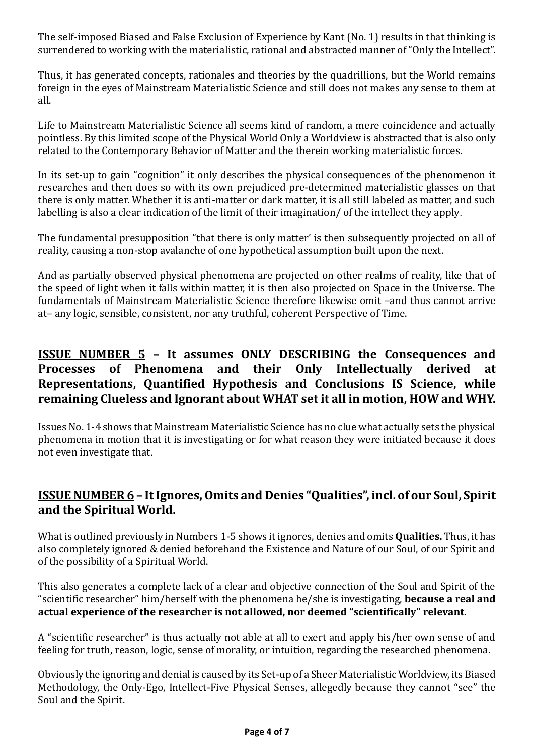The self-imposed Biased and False Exclusion of Experience by Kant (No. 1) results in that thinking is surrendered to working with the materialistic, rational and abstracted manner of "Only the Intellect".

Thus, it has generated concepts, rationales and theories by the quadrillions, but the World remains foreign in the eyes of Mainstream Materialistic Science and still does not makes any sense to them at all.

Life to Mainstream Materialistic Science all seems kind of random, a mere coincidence and actually pointless. By this limited scope of the Physical World Only a Worldview is abstracted that is also only related to the Contemporary Behavior of Matter and the therein working materialistic forces.

In its set-up to gain "cognition" it only describes the physical consequences of the phenomenon it researches and then does so with its own prejudiced pre-determined materialistic glasses on that there is only matter. Whether it is anti-matter or dark matter, it is all still labeled as matter, and such labelling is also a clear indication of the limit of their imagination/ of the intellect they apply.

The fundamental presupposition "that there is only matter' is then subsequently projected on all of reality, causing a non-stop avalanche of one hypothetical assumption built upon the next.

And as partially observed physical phenomena are projected on other realms of reality, like that of the speed of light when it falls within matter, it is then also projected on Space in the Universe. The fundamentals of Mainstream Materialistic Science therefore likewise omit –and thus cannot arrive at– any logic, sensible, consistent, nor any truthful, coherent Perspective of Time.

### **ISSUE NUMBER 5 – It assumes ONLY DESCRIBING the Consequences and Processes of Phenomena and their Only Intellectually derived at Representations, Quantified Hypothesis and Conclusions IS Science, while remaining Clueless and Ignorant about WHAT set it all in motion, HOW and WHY.**

Issues No. 1-4 shows that Mainstream Materialistic Science has no clue what actually sets the physical phenomena in motion that it is investigating or for what reason they were initiated because it does not even investigate that.

#### **ISSUE NUMBER 6 – It Ignores, Omits and Denies "Qualities", incl. of our Soul, Spirit and the Spiritual World.**

What is outlined previously in Numbers 1-5 shows it ignores, denies and omits **Qualities.** Thus, it has also completely ignored & denied beforehand the Existence and Nature of our Soul, of our Spirit and of the possibility of a Spiritual World.

This also generates a complete lack of a clear and objective connection of the Soul and Spirit of the "scientific researcher" him/herself with the phenomena he/she is investigating, **because a real and actual experience of the researcher is not allowed, nor deemed "scientifically" relevant**.

A "scientific researcher" is thus actually not able at all to exert and apply his/her own sense of and feeling for truth, reason, logic, sense of morality, or intuition, regarding the researched phenomena.

Obviously the ignoring and denial is caused by its Set-up of a Sheer Materialistic Worldview, its Biased Methodology, the Only-Ego, Intellect-Five Physical Senses, allegedly because they cannot "see" the Soul and the Spirit.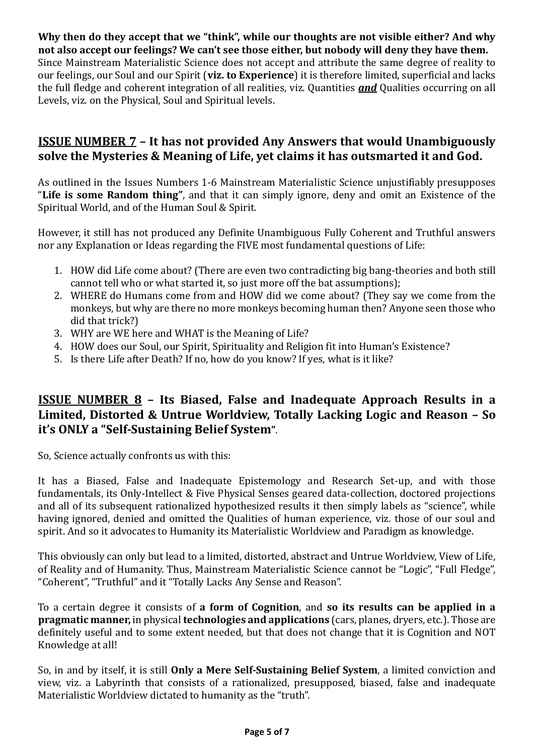**Why then do they accept that we "think", while our thoughts are not visible either? And why not also accept our feelings? We can't see those either, but nobody will deny they have them.**  Since Mainstream Materialistic Science does not accept and attribute the same degree of reality to our feelings, our Soul and our Spirit (**viz. to Experience**) it is therefore limited, superficial and lacks the full fledge and coherent integration of all realities, viz. Quantities *and* Qualities occurring on all Levels, viz. on the Physical, Soul and Spiritual levels.

#### **ISSUE NUMBER 7 – It has not provided Any Answers that would Unambiguously solve the Mysteries & Meaning of Life, yet claims it has outsmarted it and God.**

As outlined in the Issues Numbers 1-6 Mainstream Materialistic Science unjustifiably presupposes "**Life is some Random thing"**, and that it can simply ignore, deny and omit an Existence of the Spiritual World, and of the Human Soul & Spirit.

However, it still has not produced any Definite Unambiguous Fully Coherent and Truthful answers nor any Explanation or Ideas regarding the FIVE most fundamental questions of Life:

- 1. HOW did Life come about? (There are even two contradicting big bang-theories and both still cannot tell who or what started it, so just more off the bat assumptions);
- 2. WHERE do Humans come from and HOW did we come about? (They say we come from the monkeys, but why are there no more monkeys becoming human then? Anyone seen those who did that trick?)
- 3. WHY are WE here and WHAT is the Meaning of Life?
- 4. HOW does our Soul, our Spirit, Spirituality and Religion fit into Human's Existence?
- 5. Is there Life after Death? If no, how do you know? If yes, what is it like?

#### **ISSUE NUMBER 8 – Its Biased, False and Inadequate Approach Results in a Limited, Distorted & Untrue Worldview, Totally Lacking Logic and Reason – So it's ONLY a "Self-Sustaining Belief System"**.

So, Science actually confronts us with this:

It has a Biased, False and Inadequate Epistemology and Research Set-up, and with those fundamentals, its Only-Intellect & Five Physical Senses geared data-collection, doctored projections and all of its subsequent rationalized hypothesized results it then simply labels as "science", while having ignored, denied and omitted the Qualities of human experience, viz. those of our soul and spirit. And so it advocates to Humanity its Materialistic Worldview and Paradigm as knowledge.

This obviously can only but lead to a limited, distorted, abstract and Untrue Worldview, View of Life, of Reality and of Humanity. Thus, Mainstream Materialistic Science cannot be "Logic", "Full Fledge", "Coherent", "Truthful" and it "Totally Lacks Any Sense and Reason".

To a certain degree it consists of **a form of Cognition**, and **so its results can be applied in a pragmatic manner,** in physical **technologies and applications** (cars, planes, dryers, etc.). Those are definitely useful and to some extent needed, but that does not change that it is Cognition and NOT Knowledge at all!

So, in and by itself, it is still **Only a Mere Self-Sustaining Belief System**, a limited conviction and view, viz. a Labyrinth that consists of a rationalized, presupposed, biased, false and inadequate Materialistic Worldview dictated to humanity as the "truth".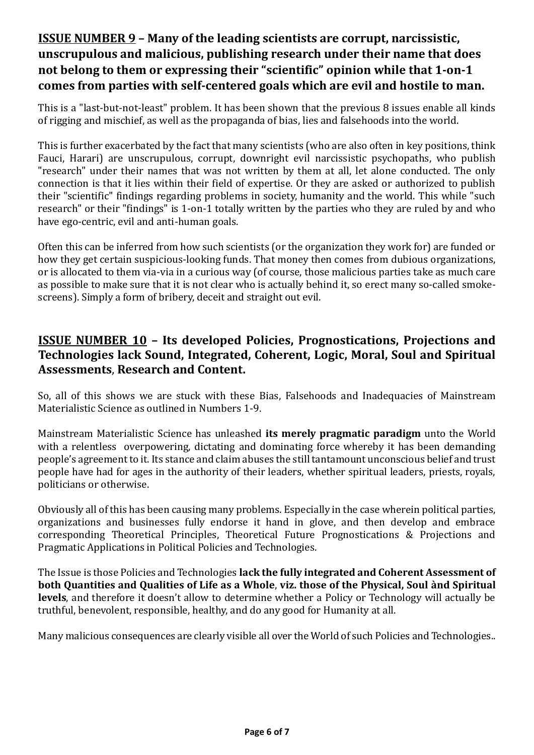# **ISSUE NUMBER 9 – Many of the leading scientists are corrupt, narcissistic, unscrupulous and malicious, publishing research under their name that does not belong to them or expressing their "scientific" opinion while that 1-on-1 comes from parties with self-centered goals which are evil and hostile to man.**

This is a "last-but-not-least" problem. It has been shown that the previous 8 issues enable all kinds of rigging and mischief, as well as the propaganda of bias, lies and falsehoods into the world.

This is further exacerbated by the fact that many scientists (who are also often in key positions, think Fauci, Harari) are unscrupulous, corrupt, downright evil narcissistic psychopaths, who publish "research" under their names that was not written by them at all, let alone conducted. The only connection is that it lies within their field of expertise. Or they are asked or authorized to publish their "scientific" findings regarding problems in society, humanity and the world. This while "such research" or their "findings" is 1-on-1 totally written by the parties who they are ruled by and who have ego-centric, evil and anti-human goals.

Often this can be inferred from how such scientists (or the organization they work for) are funded or how they get certain suspicious-looking funds. That money then comes from dubious organizations, or is allocated to them via-via in a curious way (of course, those malicious parties take as much care as possible to make sure that it is not clear who is actually behind it, so erect many so-called smokescreens). Simply a form of bribery, deceit and straight out evil.

### **ISSUE NUMBER 10 – Its developed Policies, Prognostications, Projections and Technologies lack Sound, Integrated, Coherent, Logic, Moral, Soul and Spiritual Assessments**, **Research and Content.**

So, all of this shows we are stuck with these Bias, Falsehoods and Inadequacies of Mainstream Materialistic Science as outlined in Numbers 1-9.

Mainstream Materialistic Science has unleashed **its merely pragmatic paradigm** unto the World with a relentless overpowering, dictating and dominating force whereby it has been demanding people's agreement to it. Its stance and claim abuses the still tantamount unconscious belief and trust people have had for ages in the authority of their leaders, whether spiritual leaders, priests, royals, politicians or otherwise.

Obviously all of this has been causing many problems. Especially in the case wherein political parties, organizations and businesses fully endorse it hand in glove, and then develop and embrace corresponding Theoretical Principles, Theoretical Future Prognostications & Projections and Pragmatic Applications in Political Policies and Technologies.

The Issue is those Policies and Technologies **lack the fully integrated and Coherent Assessment of both Quantities and Qualities of Life as a Whole**, **viz. those of the Physical, Soul ànd Spiritual levels**, and therefore it doesn't allow to determine whether a Policy or Technology will actually be truthful, benevolent, responsible, healthy, and do any good for Humanity at all.

Many malicious consequences are clearly visible all over the World of such Policies and Technologies..